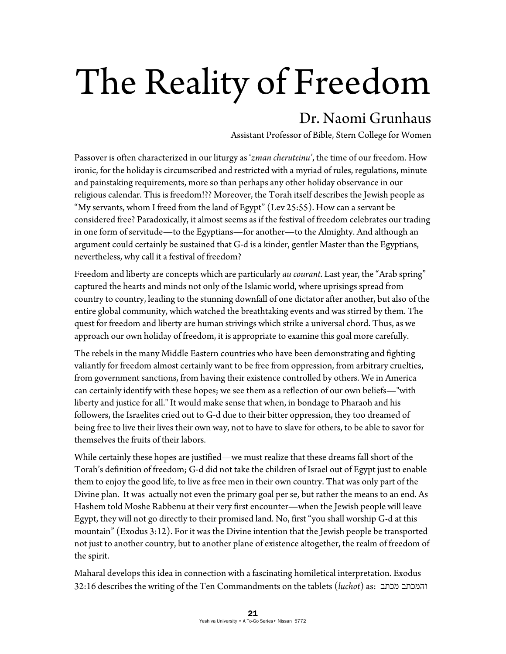## The Reality of Freedom

## Dr. Naomi Grunhaus

Assistant Professor of Bible, Stern College for Women

Passover is often characterized in our liturgy as '*zman cheruteinu'*, the time of our freedom. How ironic, for the holiday is circumscribed and restricted with a myriad of rules, regulations, minute and painstaking requirements, more so than perhaps any other holiday observance in our religious calendar. This is freedom!?? Moreover, the Torah itself describes the Jewish people as "My servants, whom I freed from the land of Egypt" (Lev 25:55). How can a servant be considered free? Paradoxically, it almost seems as if the festival of freedom celebrates our trading in one form of servitude—to the Egyptians—for another—to the Almighty. And although an argument could certainly be sustained that G-d is a kinder, gentler Master than the Egyptians, nevertheless, why call it a festival of freedom?

Freedom and liberty are concepts which are particularly *au courant*. Last year, the "Arab spring" captured the hearts and minds not only of the Islamic world, where uprisings spread from country to country, leading to the stunning downfall of one dictator after another, but also of the entire global community, which watched the breathtaking events and was stirred by them. The quest for freedom and liberty are human strivings which strike a universal chord. Thus, as we approach our own holiday of freedom, it is appropriate to examine this goal more carefully.

The rebels in the many Middle Eastern countries who have been demonstrating and fighting valiantly for freedom almost certainly want to be free from oppression, from arbitrary cruelties, from government sanctions, from having their existence controlled by others. We in America can certainly identify with these hopes; we see them as a reflection of our own beliefs—"with liberty and justice for all." It would make sense that when, in bondage to Pharaoh and his followers, the Israelites cried out to G-d due to their bitter oppression, they too dreamed of being free to live their lives their own way, not to have to slave for others, to be able to savor for themselves the fruits of their labors.

While certainly these hopes are justified—we must realize that these dreams fall short of the Torah's definition of freedom; G-d did not take the children of Israel out of Egypt just to enable them to enjoy the good life, to live as free men in their own country. That was only part of the Divine plan. It was actually not even the primary goal per se, but rather the means to an end. As Hashem told Moshe Rabbenu at their very first encounter—when the Jewish people will leave Egypt, they will not go directly to their promised land. No, first "you shall worship G-d at this mountain" (Exodus 3:12). For it was the Divine intention that the Jewish people be transported not just to another country, but to another plane of existence altogether, the realm of freedom of the spirit.

Maharal develops this idea in connection with a fascinating homiletical interpretation. Exodus 32:16 describes the writing of the Ten Commandments on the tablets (*luchot*) as: מכתב והמכתב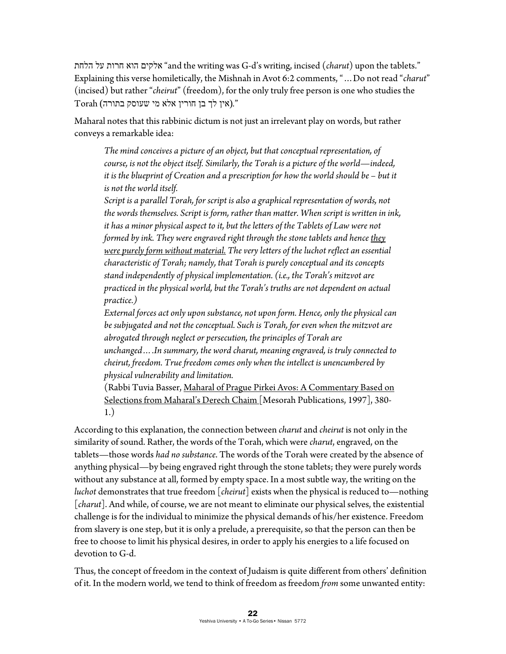הלחת על חרות הוא אלקים" and the writing was G-d's writing, incised (*charut*) upon the tablets." Explaining this verse homiletically, the Mishnah in Avot 6:2 comments, "…Do not read "*charut*" (incised) but rather "*cheirut*" (freedom), for the only truly free person is one who studies the "*.*(אין לך בן חורין אלא מי שעוסק בתורה) Torah

Maharal notes that this rabbinic dictum is not just an irrelevant play on words, but rather conveys a remarkable idea:

*The mind conceives a picture of an object, but that conceptual representation, of course, is not the object itself. Similarly, the Torah is a picture of the world—indeed,*  it is the blueprint of Creation and a prescription for how the world should be – but it *is not the world itself.* 

*Script is a parallel Torah, for script is also a graphical representation of words, not the words themselves. Script is form, rather than matter. When script is written in ink, it has a minor physical aspect to it, but the letters of the Tablets of Law were not formed by ink. They were engraved right through the stone tablets and hence they were purely form without material. The very letters of the luchot reflect an essential characteristic of Torah; namely, that Torah is purely conceptual and its concepts stand independently of physical implementation. (i.e., the Torah's mitzvot are practiced in the physical world, but the Torah's truths are not dependent on actual practice.)* 

*External forces act only upon substance, not upon form. Hence, only the physical can be subjugated and not the conceptual. Such is Torah, for even when the mitzvot are abrogated through neglect or persecution, the principles of Torah are unchanged….In summary, the word charut, meaning engraved, is truly connected to cheirut, freedom. True freedom comes only when the intellect is unencumbered by physical vulnerability and limitation.* 

(Rabbi Tuvia Basser, Maharal of Prague Pirkei Avos: A Commentary Based on Selections from Maharal's Derech Chaim [Mesorah Publications, 1997], 380- 1.)

According to this explanation, the connection between *charut* and *cheirut* is not only in the similarity of sound. Rather, the words of the Torah, which were *charut*, engraved, on the tablets—those words *had no substance*. The words of the Torah were created by the absence of anything physical—by being engraved right through the stone tablets; they were purely words without any substance at all, formed by empty space. In a most subtle way, the writing on the *luchot* demonstrates that true freedom [*cheirut*] exists when the physical is reduced to—nothing [*charut*]. And while, of course, we are not meant to eliminate our physical selves, the existential challenge is for the individual to minimize the physical demands of his/her existence. Freedom from slavery is one step, but it is only a prelude, a prerequisite, so that the person can then be free to choose to limit his physical desires, in order to apply his energies to a life focused on devotion to G-d.

Thus, the concept of freedom in the context of Judaism is quite different from others' definition of it. In the modern world, we tend to think of freedom as freedom *from* some unwanted entity: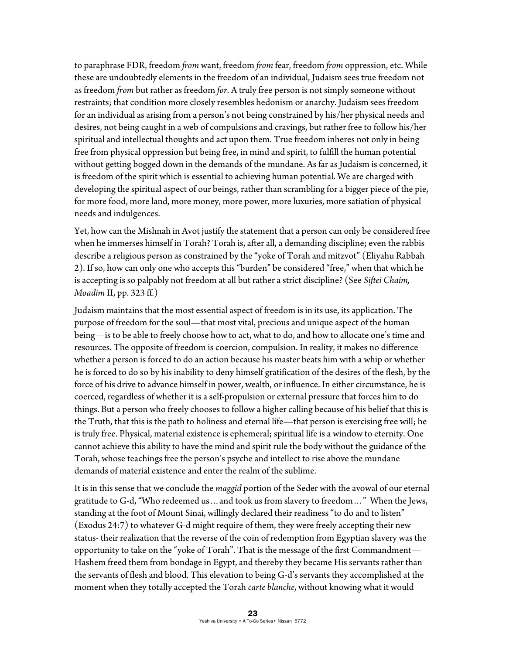to paraphrase FDR, freedom *from* want, freedom *from* fear, freedom *from* oppression, etc. While these are undoubtedly elements in the freedom of an individual, Judaism sees true freedom not as freedom *from* but rather as freedom *for*. A truly free person is not simply someone without restraints; that condition more closely resembles hedonism or anarchy. Judaism sees freedom for an individual as arising from a person's not being constrained by his/her physical needs and desires, not being caught in a web of compulsions and cravings, but rather free to follow his/her spiritual and intellectual thoughts and act upon them. True freedom inheres not only in being free from physical oppression but being free, in mind and spirit, to fulfill the human potential without getting bogged down in the demands of the mundane. As far as Judaism is concerned, it is freedom of the spirit which is essential to achieving human potential. We are charged with developing the spiritual aspect of our beings, rather than scrambling for a bigger piece of the pie, for more food, more land, more money, more power, more luxuries, more satiation of physical needs and indulgences.

Yet, how can the Mishnah in Avot justify the statement that a person can only be considered free when he immerses himself in Torah? Torah is, after all, a demanding discipline; even the rabbis describe a religious person as constrained by the "yoke of Torah and mitzvot" (Eliyahu Rabbah 2). If so, how can only one who accepts this "burden" be considered "free," when that which he is accepting is so palpably not freedom at all but rather a strict discipline? (See *Siftei Chaim, Moadim* II, pp. 323 ff.)

Judaism maintains that the most essential aspect of freedom is in its use, its application. The purpose of freedom for the soul—that most vital, precious and unique aspect of the human being—is to be able to freely choose how to act, what to do, and how to allocate one's time and resources. The opposite of freedom is coercion, compulsion. In reality, it makes no difference whether a person is forced to do an action because his master beats him with a whip or whether he is forced to do so by his inability to deny himself gratification of the desires of the flesh, by the force of his drive to advance himself in power, wealth, or influence. In either circumstance, he is coerced, regardless of whether it is a self-propulsion or external pressure that forces him to do things. But a person who freely chooses to follow a higher calling because of his belief that this is the Truth, that this is the path to holiness and eternal life—that person is exercising free will; he is truly free. Physical, material existence is ephemeral; spiritual life is a window to eternity. One cannot achieve this ability to have the mind and spirit rule the body without the guidance of the Torah, whose teachings free the person's psyche and intellect to rise above the mundane demands of material existence and enter the realm of the sublime.

It is in this sense that we conclude the *maggid* portion of the Seder with the avowal of our eternal gratitude to G-d, "Who redeemed us…and took us from slavery to freedom…" When the Jews, standing at the foot of Mount Sinai, willingly declared their readiness "to do and to listen" (Exodus 24:7) to whatever G-d might require of them, they were freely accepting their new status- their realization that the reverse of the coin of redemption from Egyptian slavery was the opportunity to take on the "yoke of Torah". That is the message of the first Commandment— Hashem freed them from bondage in Egypt, and thereby they became His servants rather than the servants of flesh and blood. This elevation to being G-d's servants they accomplished at the moment when they totally accepted the Torah *carte blanche*, without knowing what it would